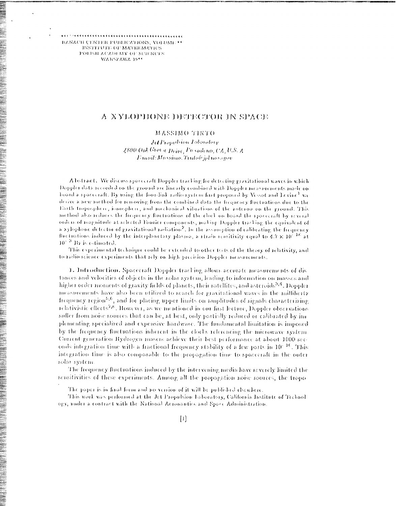BANACH CERTER PUBLICATIONS, VOLUME \*\* INSTITUTE OF MATHEMATICS POLISH ACADEMY OF SCIENCES WARSZAWA 1955

# A XYLOPHONE DETECTOR IN SPACE

MASSIMO TINTO

Jet Propelsion Laboratory 2800 Oak Grovie Drive, Posadena, CA, U.S. A L'ucail: Massimo. Truto@jpl nasagov

Abstract. We discuss spacecraft Doppler tracking for detecting gravitational waves in which Doppler data recorded on the ground are linearly combined with Doppler measurements made on board a spacecraft. By using the four-link radio system first proposed by Vesset and Levine<sup>1</sup> we derive a new method for removing from the combined data the frequency fluctuations due to the Earth troposphere, ionosphere, and mechanical vibrations of the antenna on the ground. This method also reduces the frequency fluctuations of the clock on board the spacecraft by several orders of magnitude at selected Fourier components, making Doppler tracking the equivalent of a xylophone detector of gravitational radiation<sup>2</sup>. In the assumption of calibrating the frequency fluctuations induced by the interplanetary plasma, a strain sensitivity equal to  $4.7 \times 10^{-18}$  at  $10^{-3}$  Hz is estimated.

This experimental technique could be extended to other tests of the theory of relativity, and to radio science experiments that rely on high-precision Doppler measurements.

1. Introduction, Spacecraft Doppler tracking allows accurate measurements of distances and velocities of objects in the solar system, leading to information on masses and higher order moments of gravity fields of planets, their satellites, and asteroids<sup>3,4</sup>. Doppler measurements have also been utilized to search for gravitational waves in the millihertz frequency region<sup>5,6</sup>, and for placing upper limits on amplitudes of signals characterizing relativistic effects<sup>7,8</sup>. However, as we mentioned in our first lecture, Doppler observations suffer from noise sources that can be, at best, only partially reduced or calibrated by im plementing specialized and expensive hardware. The fundamental limitation is imposed by the frequency fluctuations inherent in the clocks referencing the microwave system. Current generation Hydrogen masers achieve their best performance at about 1000 acconds integration time with a fractional frequency stability of a few parts in 10<sup>-16</sup>. This integration time is also comparable to the propagation time to spacecraft in the outer solar system

The frequency fluctuations induced by the intervening media have severely limited the sensitivities of these experiments. Among all the propagation noise sources, the tropo

The paper is in final form and no version of it will be published elsewhere.

This work was performed at the Jct Propulsion Laboratory, California Institute of Technol ogy, under a contract with the National Acronautio, and Space Administration.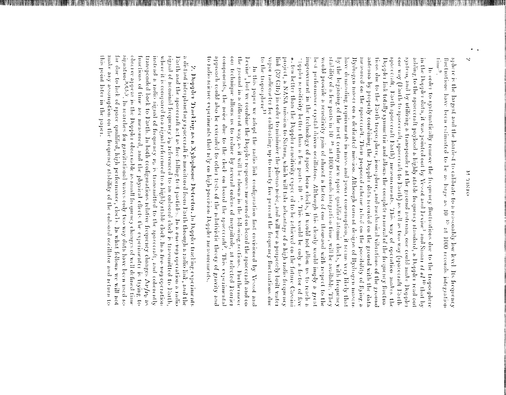# OUNED R

 $\dim e^9$ . fluctuations have been estimated to be as large as 10<sup>-13</sup> at 1000 seconds integration sphere is the largest and the hardest to calibrate to a reasonably low level. Its frequency

to the troposphere<br> $\mathbf{1}$ stability of a few parts in  $10^{-16}$  at  $1000$  seconds integration time, will be available. project, a NASA mission to Saturn, which will take advantage of a high radio frequency improvement in the technology of space hom clocks, it would not allow us to reach a by the beginning of the next century new space qualified atomic clocks, with frequency measured on the spacecraft. Their proposed scheme relied on the possibility of figing a vapor radiometer for calibrating up to ninety five percont the frequency fluctuations due link (32 GHz) in erder to minimize the plasma mose, and will use a purposely built water  $\sim$  10 and the Doppler straight sensitivity expected to be adjaced on the future Cassinial . best performance crystal driven oscillators. Although this clearly would imply a great would provide a sensitivity gain of almost a factor of one thousand with respect to the have demanding requirements in mass and power consumption, it seems very likely that Hydrogen mæer on å dedicated mission. Although current designs of Hydrogen masers antenna by properly combining the Doppler data recorded on the ground with the data tions due to the Earth tropocyhore, jone.ghore, and mechanical vihrations of the ground Doppler link totally symmetric and allows the complete removal of the frequency finetua spacetall, Datth spacecraft Dath) measurements. one way  $(\text{1a}(1)$  to spacecraft, spacecraft to Earth) as well as two way (spacecraft Earthsystem, and by utilizing a transponder at the ground autema, one could make Dopple adding to the spacecraft payload a highly stable frequency standard, a Doppler read out in the Doppler data, it was pointed out by Vesset and Levine<sup>1</sup> and Smarr et  $a^{10}$  that by "sippler sensitivity better than a few parts 10  $^{16}$ . This would be only a factor of five In order to systematically remove the frequency fluctuations due to the troposphere This way of operation makes the Chley

Levine<sup>1</sup> out technique allows us to reduce by several orders of magnitude, at selected Fourier<br>components, the noise due to the clock on board the spacecraft?, This experimental to radio science experiments that rely on high precision Doppler measurements approach could also be extended to other tests of the relativistic theory of gravity and the ground in a different way, as it will be shown in the following sections. Furthermore In this paper we adopt the radio link configuration first envisioned by Vesset and , but we confidue the Doppler responses measured on board the spacecraft and on

this point later in the paper. make any assumption on the frequency stability of the enhance coellistics and return to far due to lack of space qualified, high performance, clocks. In what follows we will not observe appear in the Doppler observable as small frequency changes of well defined time<br>signature<sup>8457</sup>. In searches for gravitational waves only two way data have been used so functions of time are measured, and the physical effects the experimenter is trying to transponded back to Earth. In both configurations relative frequency changes  $\Delta \nu/\nu_0$  as instead a radio signal of frequency  $\nu_0$  is transmitted to the spacecraft, and coherently signal of noninal frequency izo referenced to an onboard clock is transmitted to Earth, a distant interplanetary spacecraft is monitored from Farth through a radio link, and the where it is compared to a signal referenced to a highly stable clock. In a two-wey operation Earth and the spacecraft act as free-falling test particles. In a one-woy operation a radio  $\chi$ . Doppler Tracking as a Xylophone Detector, In Doppler tracking experiments

asi da mata da mata wa matu ma

 $\ddot{\phantom{0}}$ 

 $\bullet$  .  $\bullet$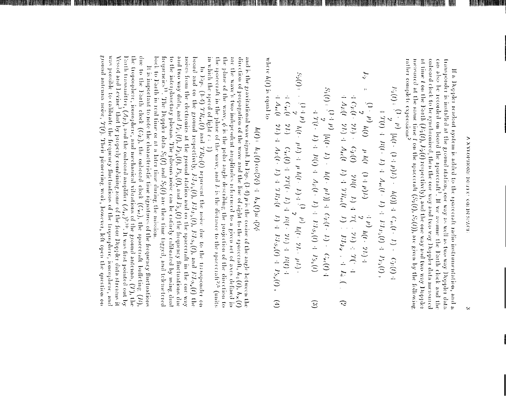at time *t* on the Earth  $(F_0(t)$ ,  $F_2(t)$  respectively), and the one way and two way Doppler nucasured at the same time *t* on the spacecraft  $(S_1(t)$ ,  $S_2(t))$ , are given by the following rather complete expressions? can also be recorded on board the spaceraft? If we assume the Earth clock and the transponder is installed at the ground station, one way as well as two way Doppler data onboard clock to be synchronized, then the one-way and two way Doppler data measured If a Doppler readout eystem is added to the spacecraft radio instrumentation, and a

**THE R** 騙 **ERRI IN BIL** 

$$
E_0(t): \begin{cases} (1+(-1)^2) - 1/(1) + C_0(t+1) + C_0(t) + (-1)^2 + C_0(t) + (-1)^2 + 2C_0(t) + C_0(t) + C_0(t) + C_1(t) + 1 + 2C_0(t) + C_0(t) + C_1(t) + C_1(t) + C_0(t) + C_1(t) + C_0(t) + C_1(t) + C_0(t) + C_1(t) + C_0(t) + C_1(t) + C_0(t) + C_1(t) + C_1(t) + C_1(t) + C_1(t) + C_1(t) + C_1(t) + C_1(t) + C_1(t) + C_1(t) + C_1(t) + C_1(t) + C_1(t) + C_1(t) + C_1(t) + C_1(t) + C_1(t) + C_1(t) + C_1(t) + C_1(t) + C_1(t) + C_1(t) + C_1(t) + C_1(t) + C_1(t) + C_1(t) + C_1(t) + C_1(t) + C_1(t) + C_1(t) + C_1(t) + C_1(t) + C_1(t) + C_1(t) + C_1(t) + C_1(t) + C_1(t) + C_1(t) + C_1(t) + C_1(t) + C_1(t) + C_1(t) + C_1(t) + C_1(t) + C_1(t) + C_1(t) + C_1(t) + C_1(t) + C_1(t) + C_1(t) + C_1(t) + C_1(t) + C_1(t) + C_1(t) + C_1(t) + C_1(t) + C_1(t) + C_1(t) + C_1(t) + C_1(t) + C_1(t) + C_1(t) + C_1(t) + C_1(t) + C_1(t) + C_1(t) + C_1(t) + C_1(t) + C_1(t) + C_1(t) + C_1(t) + C_1(t) + C_1(t) + C_1(t) + C_1(t) + C_1(t) + C_1(t) + C_1(t) + C_1(t) + C_1(t) + C_1(t) + C_1(t) + C_1(t) + C_1(t) + C_1(t) + C_1(t) + C_1(t) + C_1(t) + C_1(t) + C_1(t) + C_1(t) + C_1(t) + C_1(t) + C_1(t) + C_1(t) + C_1(t) + C_1(t) + C_1(t) + C_1(t) + C_1(t) + C
$$

where  $h(t)$  is equal to

# $h(t)$ :  $h_4(t) \cos(2\phi) + h_x(t)$ si (2 $\phi$

in which the speed of light  $\epsilon$  : the spacecraft in the plane of the wave, and L is the distance to the spacecraft<sup>25</sup> (units the plane of the wave,  $\phi$  is the polar angle describing the projection of the direction to are the wave's two independent amplitudes referenced to a given set of axes defined in direction of propagation of the wave and the line of sight to the spacecraft,  $h_4(t)$ ,  $h_8(t)$ and is the gravitational wave signal. In Eqs. (1.4)  $\mu$  is the cosine of the angle between the  $\cup$ 

noises from the electronics at the ground station and on the spacecraft in the one-way<br>and two way data, and  $P_{F_3}(t)$ ,  $P_{F_2}(t)$ ,  $P_{S_3}(t)$ , and  $P_{S_2}(t)$  the frequency fluctuations due<br>to the interglanetary plasma. frequencies<sup>11</sup>. The Doppler data  $S_1(t)$  and  $S_2(t)$  are then time tagged, and telemetered bead and on the ground respectively,  $EJ_{23}(t)$ ,  $EJ_{25}(t)$ ,  $D3_{6}(t)$ , and  $EJ_{35}(t)$  the In Eqs. (1.4) TR<sub>te</sub>(t) and TR<sub>1</sub>;(t) represent the noise due to the transponder on

ground antenna noise,  $T(t)$ . Their pioneering work, however, left open the question on was possible to calibrate the frequency fluctuations of the troposphere, ionosphere, and Farth transmitter,  $(A_F)$ , and the onboard amplifier  $(A_\lambda)^{2/3}$ . It was first pointed out by Vesset and Levine<sup>1</sup> that by properly combining some of the four Doppler data streams it the troposphere, ionosphere, and mechanical vibrations of the ground antenna,  $(T)$ , the due to the Farth clock  $(C_i)$ , the onboad clock  $(C_i \epsilon)$ , the spacecial bufficting  $(D_i)$ , back to Earth in real time or at a later time during the mission. It is important to note the characteristic time signatures of the frequency fluctuations

HARRIS E BATTEL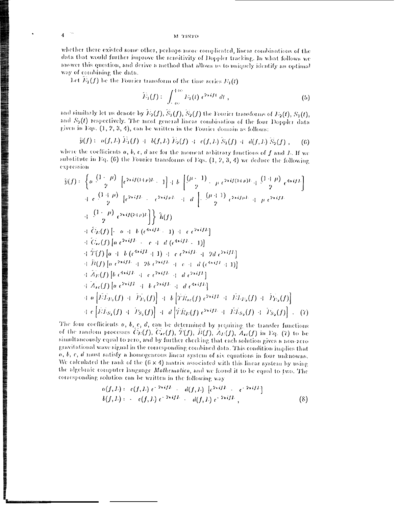M TINTO

whether there existed some other, perhaps more complicated, linear combinations of the data that would further improve the sensitivity of Doppler tracking. In what follows we answer this question, and derive a method that allows us to uniquely identify an optimal way of combining the data.

Let  $\widehat{E}_1(f)$  be the Fourier transform of the time series  $E_1(t)$ 

$$
\widehat{\mathcal{V}}_1(f) := \int_{-\infty}^{+\infty} \mathcal{V}_1(t) e^{2\pi i f t} dt,
$$
\n(5)

and similarly let us denote by  $\widetilde{E}_2(f)$ ,  $\widetilde{S}_1(f)$ ,  $\widetilde{S}_2(f)$  the Fourier transforms of  $E_2(t)$ ,  $S_1(t)$ , and  $S_2(t)$  respectively. The most general linear combination of the four Doppler data given in Eqs.  $(1, 2, 3, 4)$ , can be written in the Fourier domain as follows:

$$
\hat{y}(f) := a(f, L) \ E_1(f) + b(f, L) \ E_2(f) + c(f, L) \ S_1(f) + d(f, L) \ S_2(f) , \qquad (6)
$$

where the coefficients  $a, b, c, d$  are for the moment arbitrary functions of  $f$  and  $L$ . If we substitute in Eq. (6) the Fourier transforms of Eqs.  $(1, 2, 3, 4)$  we deduce the following expression

$$
\hat{y}(f) = \left\{ a \frac{(1-\mu)}{2} \left[ e^{2\pi i f(1+\mu)L} - 1 \right] + b \left[ \frac{(\mu-1)}{2} - \mu e^{2\pi i f(1+\mu)L} + \frac{(1+\mu)}{2} e^{4\pi i f L} \right] \right\} \n+ c \frac{(1+\mu)}{2} \left[ e^{2\pi i f L} - e^{2\pi i f \mu L} + d \left[ - \frac{(\mu+1)}{2} e^{2\pi i f \mu L} + \mu e^{2\pi i f L} \right] \n+ \frac{(1-\mu)}{2} e^{2\pi i f (2+\mu)L} \right\} \hat{h}(f) \n+ \hat{C}_{E}(f) \left[ -a + b \left( e^{4\pi i f L} - 1 \right) + c \left( e^{2\pi i f L} \right] \right] \n+ \hat{C}_{E}(f) \left[ a + b \left( e^{4\pi i f L} + 1 \right) + c \left( e^{2\pi i f L} + 2d \left( e^{2\pi i f L} \right) \right] \n+ \hat{H}(f) \left[ a + b \left( e^{4\pi i f L} + 1 \right) + c \left( e^{2\pi i f L} + 2d \left( e^{2\pi i f L} \right) \right] \right] \n+ \hat{H}(f) \left[ a \left( e^{2\pi i f L} + e^{2\pi i f L} + e^{4\pi i f L} \right] \right] \n+ \hat{A}_{E}(f) \left[ b \left( e^{4\pi i f L} + e^{2\pi i f L} + d \left( e^{4\pi i f L} \right) \right] \n+ a \left[ \hat{E} \hat{L}_{E_1}(f) + \hat{P}_{E_1}(f) \right] + b \left[ \hat{T} \hat{R}_{E}(f) \left( e^{2\pi i f L} + \hat{E} \hat{L}_{E_2}(f) + \hat{P}_{E_2}(f) \right] \right] \n+ c \left[ \hat{E} \hat{L}_{E_3}(f) + \hat{P}_{E_4}(f) \right] + a \left[ \hat{T} \hat{R}_{E}(f) \left( e^{2\pi i f L} + \hat{E} \hat{L}_{E_3}(f) + \hat{P}_{E_3}(f) \right] \right]. \tag
$$

The four coefficients  $a, b, c, d$ , can be determined by requiring the transfer functions of the random processes  $C_{\rm E}(f)$ ,  $C_{\rm sc}(f)$ ,  $\tilde{T}(f)$ ,  $\tilde{B}(f)$ ,  $\tilde{A}_{\rm E}(f)$ ,  $\tilde{A}_{\rm sc}(f)$  in Eq. (7) to be simultaneously equal to zero, and by further checking that each solution gives a non-zero gravitational wave signal in the corresponding combined data. This condition implies that  $a, b, c, d$  must satisfy a homogeneous linear system of six equations in four unknowns. We calculated the rank of the  $(6 \times 4)$  matrix associated with this linear system by using the algebraic computer language Mathematica, and we found it to be equal to two. The corresponding solution can be written in the following way

$$
a(f, L) := c(f, L) e^{-2\pi i f L} = d(f, L) \left[ e^{2\pi i f L} - e^{-2\pi i f L} \right]
$$
  

$$
b(f, L) := -c(f, L) e^{-2\pi i f L} = d(f, L) e^{-2\pi i f L}, \qquad (8)
$$

 $\boldsymbol{4}$ 

,我们的人们就会在这里,我们的人们的人们就会在这里,我们的人们就会在这里,我们的人们就会在这里,我们的人们就会在这里,我们的人们就会在这里,我们就会在这里,我们<br>第25章 我们的人们的人们,我们的人们的人们的人们,我们的人们的人们的人们,我们的人们的人们的人们,我们的人们的人们的人们,我们的人们的人们的人们,我们的人们的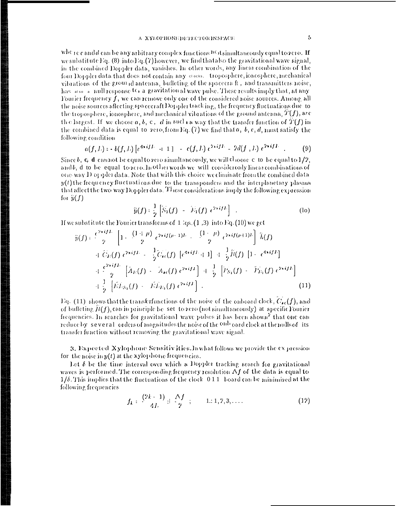where candd can be any arbitrary complex functions  $^{16}$  d simultaneously equal to zero. If we substitute Eq.  $(8)$  into Eq.  $(7)$  however, we find that also the gravitational wave signal, in the combined Doppler data, vanishes. In other words, any linear combination of the four Doppler data that does not contain any crocks. Troposphere, ionosphere, mechanical vibrations of the ground antenna, buffeting of the spacecraft, and transmitters noise, has  $\frac{1}{2}$  and  $\frac{1}{2}$  in all response to a gravitation al wave pulse. These results imply that, at any Fourier frequency  $f$ , we can remove only one of the considered noise sources. Among all the noise sources affecting spacecraft Doppler tracking, the frequency fluctuations due to the troposphere, ionosphere, and mechanical vibrations of the ground antenna,  $\hat{T}(f)$ , are the largest. If we choose  $a, b, c, d$  in such a way that the transfer function of  $T(f)$  in the combined data is equal to zero, from Eq.  $(7)$  we find that a, b, c, d, must satisfy the following condition

$$
a(f, L) = b(f, L) \left[ e^{4\pi i f L} - 1 \ 1 \right] - c(f, L) e^{2\pi i f L} - 2d(f, L) e^{2\pi i f L} \quad . \tag{9}
$$

Since b, c, d cannot be equal to zero simultaneously, we will  $\mathbb{d}$  loose c to be equal to 1/2, andb, d to be equal to zero. In other words we will considerently linear combinations of one way  $D$  of plet data. Note that with this choice we climinate from the combined data  $y(t)$  the frequency fluctuations due to the transponders and the interplanetary plasma that affect the two way Doppler data. These considerations imply the following expression for  $\hat{y}(f)$ 

$$
\widetilde{y}(f): \frac{1}{2} \left[ \widetilde{S}_1(f) - \widetilde{E}_1(f) e^{2\pi i f L} \right] . \tag{10}
$$

If we substitute the Fourier transforms of  $(1, 3)$  into Eq.  $(10)$  we get

"我们,我们就会不能让我们的人,我们就会不能让我们的人,我们就会不能让我们的人,我们就会不能让我们的人,我们就会不能让我们的人,我们就会不能让我们的人,我们就会

$$
\tilde{y}(f) := \frac{\epsilon^{2\pi i f L}}{2} \left[ 1 + \frac{(1+\mu)}{2} \frac{e^{2\pi i f (\mu - 1)L}}{2} - \frac{(1-\mu)}{2} \frac{e^{2\pi i f (\mu + 1)L}}{2} \right] \tilde{h}(f) \n+ \tilde{C}_E(f) e^{2\pi i f L} - \frac{1}{2} \tilde{C}_{\ell\ell}(f) \left[ e^{4\pi i f L} + 1 \right] + \frac{1}{2} \tilde{h}(f) \left[ 1 - e^{4\pi i f L} \right] \n+ \frac{\epsilon^{2\pi i f L}}{2} \left[ \tilde{A}_E(f) - \tilde{A}_{\ell\ell}(f) e^{2\pi i f L} \right] + \frac{1}{2} \left[ \tilde{P}_{S_1}(f) - \tilde{P}_{L_1}(f) e^{2\pi i f L} \right] \n+ \frac{1}{2} \left[ \tilde{E} \tilde{L}_{S_1}(f) - \tilde{E} \tilde{L}_{L_1}(f) e^{2\pi i f L} \right].
$$
\n(11)

Eq. (11) shows that the transferfunctions of the noise of the onboard clock,  $C_{\star c}(f)$ , and of buffeting  $B(f)$ , can in principle be set to zero (not simultaneously) at specific Fourier frequencies. In searches for gravitational wave pulses it has been shown<sup>2</sup> that one can reduce by several orders of magnitudes the noise of the <sup>onb</sup> oard clock at the nulls of its transfer function without removing the gravitational wave signal.

3. Expected Xylophone Sensitiv ities. In what follows we provide the expression for the noise in  $y(t)$  at the xylophone frequencies.

Let  $\delta$  be the time interval over which a Doppler tracking search for gravitational waves is performed. The corresponding frequency resolution  $\Delta f$  of the data is equal to  $1/\delta$ . This implies that the fluctuations of the clock  $\,0\,1\,1$  board can be minimized at the following frequencies

$$
f_k: \frac{(2k+1)}{4L} \pm \frac{\Delta f}{2} ; \qquad 1:1,2,3,\ldots \tag{12}
$$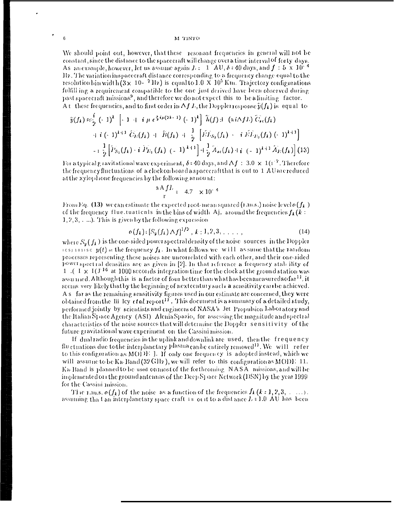### M TINTO

We should point out, however, that these resonant frequencies in general will not be constant, since the distance to the spacecraft will change over a time interval of forty-days. As an example, however, let us assume again  $L = 1$   $\Delta U$ ,  $\delta$  = 40 days, and  $f : 5 \times 10^{-4}$ Hz. The variation inspacecraft distance corresponding to a frequency change equal to the resolution bin width  $(3 \times 10^{-7})$  liz) is equal to  $1.0 \times 10^{5}$  Km. Trajectory configurations fulfill ing a requirement compatible to the one just derived have been observed during past spacecraft missions<sup>9</sup>, and therefore we do not expect this to be a limiting factor. At these frequencies, and to first order in  $\Delta f L$ , the Doppler response  $\hat{y}(f_k)$  is equal to

$$
\tilde{y}(f_k) \approx \frac{i}{2} (-1)^k \left[ -1 + i \mu \epsilon^{2i\mu(2k-1)} (-1)^k \right] \tilde{h}(f) \pm (i\pi f L) \tilde{C}_{i\epsilon}(f_k)
$$
\n
$$
\qquad + i (-1)^{k+1} \tilde{C}_{i\epsilon}(f_k) + \tilde{h}(f_k) + \frac{1}{2} \left[ \tilde{E} \tilde{L}_{S_1}(f_k) - i \tilde{E} \tilde{L}_{P_2}(f_k) (-1)^{k+1} \right]
$$
\n
$$
-i \frac{1}{2} \left[ \tilde{P}_{S_1}(f_k) - i \tilde{P}_{E_1}(f_k) (-1)^{k+1} \right] + \frac{1}{2} \tilde{A}_{i\epsilon}(f_k) + i (-1)^{k+1} \tilde{A}_{i\epsilon}(f_k) \right] (13)
$$

For a typical gravitational wave experiment,  $\delta$  = 40 days, and  $\Delta f$  : 3.0  $\times$  1(1<sup>-7</sup>. Therefore the frequency fluctuations of a clock on board a spacecraft that is out to 1 AU are reduced at the xylophone frequencies by the following arriount:

$$
\frac{\pi A f L}{r} = 4.7 \times 10^{-4}
$$

From Eq. (13) we can estimate the expected root-mean squared (r.m.s.) noise level  $o(f_k)$ of the frequency flue tuations in the bins of width Aj, around the frequencies  $f_k(k)$ :  $1, 2, 3, \ldots$ ). This is given by the following expression

$$
o(f_k) : [S_{\mathbf{y}}(f_k) \Delta f]^{1/2}, k : 1, 2, 3, ..., \qquad (14)
$$

where  $S_v(f_k)$  is the one-sided power spectral density of the noise sources in the Doppler icsiionisc  $y(t)$  at the frequency  $f_k$ . In what follows we will assume that the random processes representing these noises are uncorrelated with each other, and their one-sided power spectral densities are as given in [2]. In that reference a frequency stab ility of  $1$  (  $1 \times 1$  (  $1^{16}$  at 1000 seconds integration time for the clock at the ground station was assumed. Although this is a factor of four better than what has been measured so far<sup>11</sup>, it seems very likely that by the beginning of next century such a sensitivity can be achieved. A s far as the remaining sensitivity figures used in our estimate are concerned, they were obtained from the Iii Icy *et al.* report<sup>11</sup>, This document is a summary of a detailed study, performed jointly by scientists and engineers of NASA's Jet Propulsion Laboratory and the Italian Space Agency (ASI) Alenia Spazio, for assessing the magnitude and spectral characteristics of the noise sources that will determine the Doppler sensitivity of the future gravitational wave experiment on the Cassini mission.

If dual radio frequencies in the uplink and downlink are used, then the frequency fluctuations due to the interplanetary Pl<sup>asma</sup>can be entirely removed<sup>11</sup>. We will refer to this configuration as MODE ]. If only one frequency is adopted instead, which we will assume to be Ka-Band (32 GHz), we will refer to this configuration as MODE 11. Ka-Band is planned to be used on most of the forthcoming NASA missions, and will be implemented on the ground antennas of the Deep Space Network (DSN) by the year 1999 for the Cassini mission.

The r.m.s.  $o(f_k)$  of the noise as a function of the frequencies  $f_k$   $(k:1,2,3, \ldots)$ . assuming that an interplanetary space craft is out to a distance  $L \approx 1.0 \text{ AU}$  has been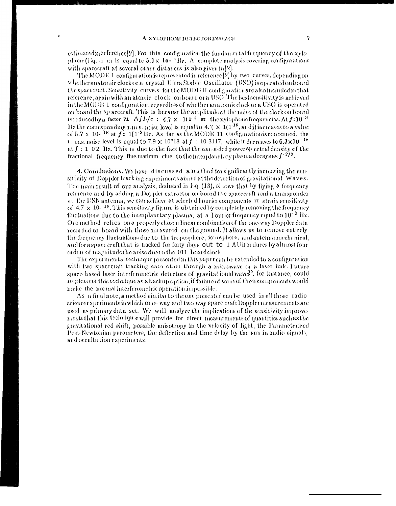estimated in reference [2]. For this configuration the fundamental frequency of the xylophone (Eq.  $(1, 1)$ ) is equal to  $5.0 \times 10^{-4}$  Hz. A complete analysis covering configurations with spacecraft at several other distances is also given in [2].

The MODE 1 configuration is represented in reference  $[2]$  by two curves, depending on whetheranatomic clock or a crystal Ultra Stable Oscillator (USO) is operated on board the spacecraft. Sensitivity curve.s for the MODE II configuration are also included in that reference, again with an atomic clock on board or a USO. The best sensitivity is achieved in the MODE 1 configuration, regardless of whether an atomic clock or a USO is operated on board the sp acecraft. This is because the amplitude of the noise of the clock on board is reduced by a factor 71  $\Delta f L/c = 4.7 \times 10^{-4}$  at the xylophone frequencies. At f=10<sup>-3</sup> Hz the corresponding r.m.s. noise level is equal to 4.'( $\times$  1(1<sup>-18</sup>, and it increases to a value of 5.7 x 10-<sup>18</sup> at  $f = 1$ [1<sup>-2</sup>Hz. As far as the MODE 11 configuration is concerned, the 1. m.s. noise level is equal to 7.9 x 10"18 at  $f$  : 10-3117, while it decreases to  $6.3 \times 10^{-18}$ at  $f: 1/02$  Hz. This is due to the fact that the one-sided power sp ectral density of the fractional frequency flue tuatimm clue to the interplanetary plasma decays as  $f^{-2/3}$ .

4. Conclusions. We have discussed a method for significantly increasing the sensitivity of Doppler tracking experiments aimed at the detection of gravitational Waves. The main result of our analysis, deduced in Eq. (13), sl lows that by flying a frequency reference and by adding a Doppler extractor on board the spacecraft and a transponder at the DSN antenna, we can achieve at selected Fourier components rr strain sensitivity of  $4.7 \times 10^{-18}$ . This sensitivity fig are is obtained by completely removing the frequency fluctuations due to the interplanetary plasma, at a Fourier frequency equal to 10<sup>-3</sup> Hz. Our method relics on a properly chosen linear combination of the one-way Doppler data recorded on board with those measured on the ground. It allows us to remove entirely the frequency fluctuations due to the troposphere, ionosphere, and antenna mechanical, and for a space craft that is tracked for forty days out to 1 AU it reduces by almost four orders of magnitude the noise due to the 011 board clock.

The experimental technique presented in this paper can be extended to a configuration with two spacecraft tracking each other through a microwave or a laser link. Future space based laser interferometric detectors of gravitat ional waves<sup>2</sup>, for instance, could implement this technique as a backup option, if failure of some of their components would make the normal interferometric operation impossible.

As a final note, a method similar to the one presented can be used in all those radio science experiments in which or ie-way and two way space eraft Doppler measurements are used as primary data set. We will analyze the implications of the sensitivity improvements that this technique will provide for direct measurements of quantities such as the gravitational red shift, possible anisotropy in the velocity of light, the Parameterized Post-Newtonian parameters, the deflection and time delay by the sun in radio signals, and occulta tion experiments.